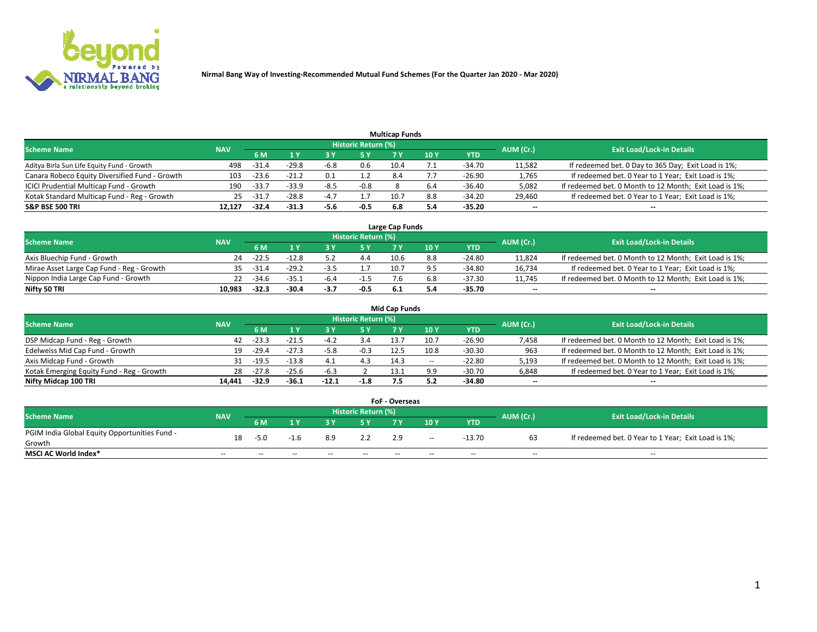

| <b>Multicap Funds</b>                          |            |         |                           |        |                     |      |      |          |                          |                                                        |  |  |  |  |
|------------------------------------------------|------------|---------|---------------------------|--------|---------------------|------|------|----------|--------------------------|--------------------------------------------------------|--|--|--|--|
| Scheme Name                                    | <b>NAV</b> |         |                           |        | Historic Return (%) |      |      |          | AUM (Cr.)                | <b>Exit Load/Lock-in Details</b>                       |  |  |  |  |
|                                                |            | 6 M     | $\mathbf{A}$ $\mathbf{V}$ |        | 5 Y                 |      | 10 Y | YTD      |                          |                                                        |  |  |  |  |
| Aditya Birla Sun Life Equity Fund - Growth     | 498        | $-31.4$ | $-29.8$                   | -6.8   | 0.6                 | 10.4 |      | -34.70   | 11,582                   | If redeemed bet. 0 Day to 365 Day; Exit Load is 1%;    |  |  |  |  |
| Canara Robeco Equity Diversified Fund - Growth | 103        | $-23.6$ | $-21.2$                   | 0.1    |                     | 8.4  |      | -26.90   | 1,765                    | If redeemed bet. 0 Year to 1 Year; Exit Load is 1%;    |  |  |  |  |
| ICICI Prudential Multicap Fund - Growth        | 190        | $-33.7$ | $-33.9$                   | -8.5   | $-0.8$              |      |      | $-36.40$ | 5,082                    | If redeemed bet. 0 Month to 12 Month; Exit Load is 1%; |  |  |  |  |
| Kotak Standard Multicap Fund - Reg - Growth    | 25         | $-31.7$ | $-28.8$                   | $-4.7$ | 1.7                 | 10.7 | 8.8  | -34.20   | 29,460                   | If redeemed bet. 0 Year to 1 Year; Exit Load is 1%;    |  |  |  |  |
| <b>S&amp;P BSE 500 TRI</b>                     | 12.127     | $-32.4$ | -31.3                     | -5.6   | -0.5                | 6.8  | 5.4  | $-35.20$ | $\overline{\phantom{a}}$ | $- -$                                                  |  |  |  |  |

| Large Cap Funds                           |            |           |                                  |        |        |      |     |          |        |                                                        |  |  |  |  |
|-------------------------------------------|------------|-----------|----------------------------------|--------|--------|------|-----|----------|--------|--------------------------------------------------------|--|--|--|--|
| Scheme Name                               | <b>NAV</b> | AUM (Cr.) | <b>Exit Load/Lock-in Details</b> |        |        |      |     |          |        |                                                        |  |  |  |  |
|                                           |            | 6 M       |                                  |        | 5 Y    |      | 10Y | YTD      |        |                                                        |  |  |  |  |
| Axis Bluechip Fund - Growth               | 24         | $-22.5$   | $-12.8$                          |        | 4.4    | 10.6 | 8.8 | $-24.80$ | 11,824 | If redeemed bet. 0 Month to 12 Month; Exit Load is 1%; |  |  |  |  |
| Mirae Asset Large Cap Fund - Reg - Growth | 35.        | $-31.4$   | $-29.2$                          | -3.5   |        | 10.7 |     | -34.80   | 16,734 | If redeemed bet. 0 Year to 1 Year; Exit Load is 1%;    |  |  |  |  |
| Nippon India Large Cap Fund - Growth      |            | $-34.6$   | $-35.1$                          | -6.4   |        |      |     | -37.30   | 11,745 | If redeemed bet. 0 Month to 12 Month; Exit Load is 1%; |  |  |  |  |
| Nifty 50 TRI                              | 10.983     | $-32.3$   | -30.4                            | $-3.7$ | $-0.5$ |      |     | -35.70   | $\sim$ | $-$                                                    |  |  |  |  |

| <b>Mid Cap Funds</b>                      |            |         |         |         |                     |      |        |            |           |                                                        |  |  |  |  |
|-------------------------------------------|------------|---------|---------|---------|---------------------|------|--------|------------|-----------|--------------------------------------------------------|--|--|--|--|
| <b>Scheme Name</b>                        | <b>NAV</b> |         |         |         | Historic Return (%) |      |        |            | AUM (Cr.) | <b>Exit Load/Lock-in Details</b>                       |  |  |  |  |
|                                           |            | 6 M     | 1 Y     |         |                     |      | 10Y    | <b>YTD</b> |           |                                                        |  |  |  |  |
| DSP Midcap Fund - Reg - Growth            | 42         | -23.3   |         | $-4.2$  | 3.4                 | 13.7 | 10.7   | $-26.90$   | 7,458     | If redeemed bet. 0 Month to 12 Month; Exit Load is 1%; |  |  |  |  |
| Edelweiss Mid Cap Fund - Growth           | 19         | $-29.4$ | $-27.3$ | -5.8    | $-0.3$              | 12.5 | 10.8   | $-30.30$   | 963       | If redeemed bet. 0 Month to 12 Month; Exit Load is 1%; |  |  |  |  |
| Axis Midcap Fund - Growth                 |            | $-19.5$ | $-13.8$ | 4.1     |                     | 14.3 | $\sim$ | $-22.80$   | 5,193     | If redeemed bet. 0 Month to 12 Month; Exit Load is 1%; |  |  |  |  |
| Kotak Emerging Equity Fund - Reg - Growth | 28         | $-27.8$ | $-25.6$ | $-6.3$  |                     | 13.1 | a a    | $-30.70$   | 6,848     | If redeemed bet. 0 Year to 1 Year; Exit Load is 1%;    |  |  |  |  |
| Nifty Midcap 100 TRI                      | 14.441     | $-32.9$ | $-36.1$ | $-12.1$ | $-1.8$              |      |        | -34.80     | $\sim$    | $\overline{\phantom{a}}$                               |  |  |  |  |

| <b>FoF - Overseas</b>                         |            |        |       |       |                            |      |       |            |           |                                                     |  |  |  |  |
|-----------------------------------------------|------------|--------|-------|-------|----------------------------|------|-------|------------|-----------|-----------------------------------------------------|--|--|--|--|
| <b>Scheme Name</b>                            | <b>NAV</b> |        |       |       | <b>Historic Return (%)</b> |      |       |            | AUM (Cr.) | <b>Exit Load/Lock-in Details</b>                    |  |  |  |  |
|                                               |            | 6 M    |       |       |                            |      | 10Y   | <b>YTD</b> |           |                                                     |  |  |  |  |
| PGIM India Global Equity Opportunities Fund - | 18         | $-5.0$ |       | 8.9   | 2.2                        | 2.9  | $- -$ | -13.70     |           | If redeemed bet. 0 Year to 1 Year; Exit Load is 1%; |  |  |  |  |
| Growth                                        |            |        |       |       |                            |      |       |            |           |                                                     |  |  |  |  |
| <b>MSCI AC World Index*</b>                   | $ -$       | $- -$  | $- -$ | $- -$ | $- -$                      | $ -$ | $- -$ | --         | $- -$     | $- -$                                               |  |  |  |  |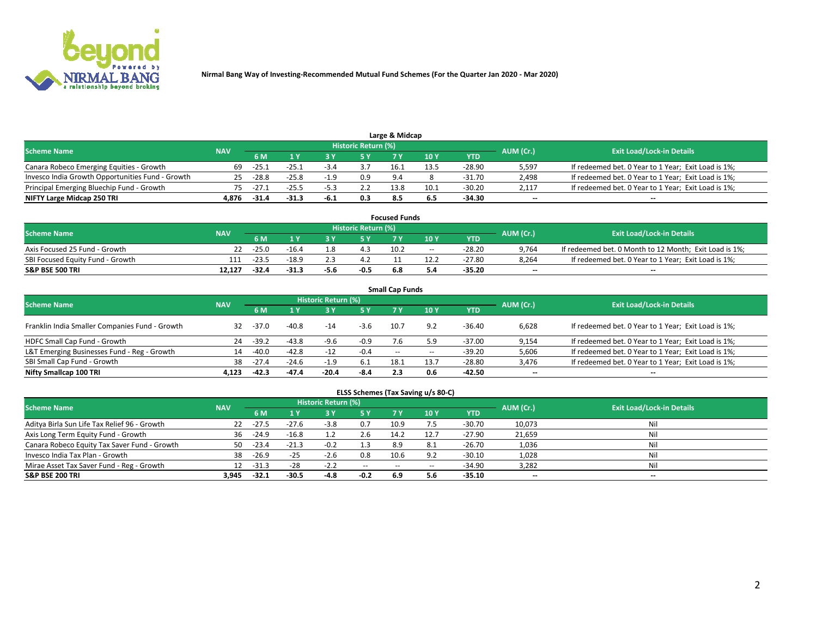

| Large & Midcap                                   |            |         |         |      |                     |      |      |          |                          |                                                     |  |  |  |  |
|--------------------------------------------------|------------|---------|---------|------|---------------------|------|------|----------|--------------------------|-----------------------------------------------------|--|--|--|--|
| <b>Scheme Name</b>                               | <b>NAV</b> |         |         |      | Historic Return (%) |      |      |          | AUM (Cr.)                | <b>Exit Load/Lock-in Details</b>                    |  |  |  |  |
|                                                  |            | 6 M     |         |      | 5 Y                 |      | 10Y  | YTD.     |                          |                                                     |  |  |  |  |
| Canara Robeco Emerging Equities - Growth         | 69         | $-25.1$ | $-25.1$ | -3.4 |                     | 16.1 | 13.5 | $-28.90$ | 5,597                    | If redeemed bet. 0 Year to 1 Year; Exit Load is 1%; |  |  |  |  |
| Invesco India Growth Opportunities Fund - Growth | 25         | $-28.8$ | $-25.8$ |      | 0.9                 | 9.4  |      | -31.70   | 2,498                    | If redeemed bet. 0 Year to 1 Year; Exit Load is 1%; |  |  |  |  |
| Principal Emerging Bluechip Fund - Growth        |            | -27.1   | $-25.5$ | -5.3 | 2.2                 | 13.8 | 10.1 | -30.20   | 2.117                    | If redeemed bet. 0 Year to 1 Year; Exit Load is 1%; |  |  |  |  |
| NIFTY Large Midcap 250 TRI                       | 4.876      | $-31.4$ |         | -6.1 | 0.3                 |      |      | -34.30   | $\overline{\phantom{a}}$ | $-$                                                 |  |  |  |  |

| <b>Focused Funds</b>             |            |         |         |      |                     |      |       |          |           |                                                        |  |  |  |
|----------------------------------|------------|---------|---------|------|---------------------|------|-------|----------|-----------|--------------------------------------------------------|--|--|--|
| <b>Scheme Name</b>               | <b>NAV</b> |         |         |      | Historic Return (%) |      |       |          |           | <b>Exit Load/Lock-in Details</b>                       |  |  |  |
|                                  |            | 6 M     |         |      |                     |      | 10 Y  | YTD      | AUM (Cr.) |                                                        |  |  |  |
| Axis Focused 25 Fund - Growth    |            | $-25.0$ | $-16.4$ |      | 4.3                 | 10.2 | $- -$ | $-28.20$ | 9,764     | If redeemed bet. 0 Month to 12 Month; Exit Load is 1%; |  |  |  |
| SBI Focused Equity Fund - Growth | 111        | $-23.5$ | $-18.9$ |      |                     |      |       | $-27.80$ | 8.264     | If redeemed bet. 0 Year to 1 Year; Exit Load is 1%;    |  |  |  |
| <b>S&amp;P BSE 500 TRI</b>       | 12.127     | $-32.4$ | $-31.3$ | -5.6 | -0.5                | 6.8  | 5.4   | $-35.20$ | $\sim$    | $- -$                                                  |  |  |  |

|                                                |            |         |         |                     |            | <b>Small Cap Funds</b> |       |            |                          |                                                     |
|------------------------------------------------|------------|---------|---------|---------------------|------------|------------------------|-------|------------|--------------------------|-----------------------------------------------------|
| <b>Scheme Name</b>                             | <b>NAV</b> |         |         | Historic Return (%) |            |                        |       |            | AUM (Cr.)                | <b>Exit Load/Lock-in Details</b>                    |
|                                                |            | 6 M     |         |                     | <b>5 Y</b> | 7 Y                    | 10Y   | <b>YTD</b> |                          |                                                     |
| Franklin India Smaller Companies Fund - Growth | 32         | $-37.0$ | $-40.8$ | $-14$               | -3.6       | 10.7                   | 9.2   | -36.40     | 6,628                    | If redeemed bet. 0 Year to 1 Year; Exit Load is 1%; |
| HDFC Small Cap Fund - Growth                   | 24         | $-39.2$ | $-43.8$ | $-9.6$              | -0.9       | 7.6                    | 5.9   | $-37.00$   | 9,154                    | If redeemed bet. 0 Year to 1 Year; Exit Load is 1%; |
| L&T Emerging Businesses Fund - Reg - Growth    | 14         | $-40.0$ | $-42.8$ | $-12$               | $-0.4$     | $- -$                  | $- -$ | $-39.20$   | 5,606                    | If redeemed bet. 0 Year to 1 Year; Exit Load is 1%; |
| SBI Small Cap Fund - Growth                    | 38         | $-27.4$ | $-24.6$ | $-1.9$              | 6.1        | 18.1                   | 13.7  | $-28.80$   | 3,476                    | If redeemed bet. 0 Year to 1 Year; Exit Load is 1%; |
| Nifty Smallcap 100 TRI                         | 4.123      | $-42.3$ | $-47.4$ | $-20.4$             | $-8.4$     | 2.3                    | 0.6   | -42.50     | $\overline{\phantom{m}}$ | $- -$                                               |

## **ELSS Schemes (Tax Saving u/s 80-C)**

| <b>Scheme Name</b>                           | <b>NAV</b> |         |                | <b>Historic Return (%)</b> |        |      |      |          | AUM (Cr.) | <b>Exit Load/Lock-in Details</b> |
|----------------------------------------------|------------|---------|----------------|----------------------------|--------|------|------|----------|-----------|----------------------------------|
|                                              |            | 6 M     | 4 <sub>Y</sub> |                            | 5 Y    | 7 V  | 10 Y | YTD      |           |                                  |
| Aditya Birla Sun Life Tax Relief 96 - Growth | 22         | $-27.5$ | $-27.6$        | $-3.8$                     | 0.7    | 10.9 |      | -30.70   | 10,073    | Nil                              |
| Axis Long Term Equity Fund - Growth          | 36         | $-24.9$ | $-16.8$        |                            | 2.6    | 14.2 | 12.7 | $-27.90$ | 21,659    | Nil                              |
| Canara Robeco Equity Tax Saver Fund - Growth | 50         | $-23.4$ |                |                            | 1.3    | 8.9  | 8.1  | $-26.70$ | 1,036     | Nil                              |
| Invesco India Tax Plan - Growth              | 38         | $-26.9$ | $-25$          | $-2.6$                     | 0.8    | 10.6 | 9.2  | $-30.10$ | 1,028     | Nil                              |
| Mirae Asset Tax Saver Fund - Reg - Growth    |            | -31.3   | -28            | $-2.2$                     | $- -$  | $-$  |      | $-34.90$ | 3,282     | Nil                              |
| <b>S&amp;P BSE 200 TRI</b>                   | 3.945      | $-32.1$ | $-30.5$        | -4.8                       | $-0.2$ | 6.9  | 5.6  | $-35.10$ | $\sim$    | $- -$                            |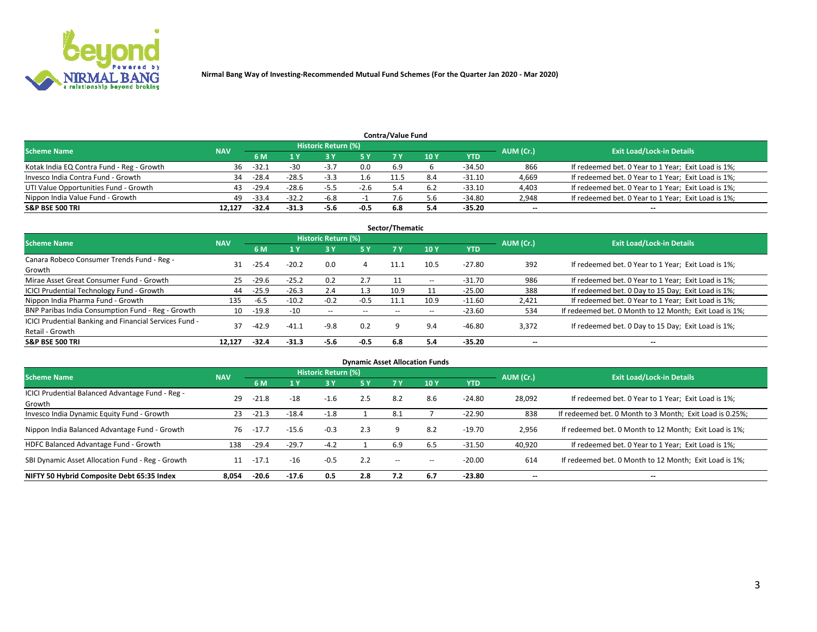

|                                           |            |         |         |                     |        | <b>Contra/Value Fund</b> |     |          |           |                                                     |
|-------------------------------------------|------------|---------|---------|---------------------|--------|--------------------------|-----|----------|-----------|-----------------------------------------------------|
| <b>Scheme Name</b>                        | <b>NAV</b> |         |         | Historic Return (%) |        |                          |     |          | AUM (Cr.) | <b>Exit Load/Lock-in Details</b>                    |
|                                           |            | 6 M     |         |                     | 5 Y    | 7 V                      | 10Y | YTD      |           |                                                     |
| Kotak India EQ Contra Fund - Reg - Growth | 36         | $-32.1$ | $-30$   | $-3.7$              | 0.0    | 6.9                      |     | -34.50   | 866       | If redeemed bet. 0 Year to 1 Year; Exit Load is 1%; |
| Invesco India Contra Fund - Growth        | 34         | $-28.4$ | $-28.5$ | $-3.3$              |        |                          |     | $-31.10$ | 4,669     | If redeemed bet. 0 Year to 1 Year; Exit Load is 1%; |
| UTI Value Opportunities Fund - Growth     | 43         | $-29.4$ | $-28.6$ | $-5.5$              | $-2.6$ |                          |     | -33.10   | 4,403     | If redeemed bet. 0 Year to 1 Year; Exit Load is 1%; |
| Nippon India Value Fund - Growth          | 49         | $-33.4$ | $-32.2$ | -6.8                |        |                          |     | -34.80   | 2,948     | If redeemed bet. 0 Year to 1 Year; Exit Load is 1%; |
| <b>S&amp;P BSE 500 TRI</b>                | 12.127     | -32.4   | $-31.3$ | -5.6                | -0.5   | 6.8                      |     | -35.20   | $\sim$    | $- -$                                               |

| Sector/Thematic                                                           |            |          |         |                     |                          |       |        |            |           |                                                        |  |  |  |  |
|---------------------------------------------------------------------------|------------|----------|---------|---------------------|--------------------------|-------|--------|------------|-----------|--------------------------------------------------------|--|--|--|--|
| <b>Scheme Name</b>                                                        | <b>NAV</b> |          |         | Historic Return (%) |                          |       |        |            | AUM (Cr.) | <b>Exit Load/Lock-in Details</b>                       |  |  |  |  |
|                                                                           |            | 6 M      | 1 Y     | <b>3Y</b>           | 75 Y                     | 7 Y   | 10 Y   | <b>YTD</b> |           |                                                        |  |  |  |  |
| Canara Robeco Consumer Trends Fund - Reg -<br>Growth                      | 31         | $-25.4$  | $-20.2$ | 0.0                 | 4                        | 11.1  | 10.5   | $-27.80$   | 392       | If redeemed bet. 0 Year to 1 Year; Exit Load is 1%;    |  |  |  |  |
| Mirae Asset Great Consumer Fund - Growth                                  | 25         | $-29.6$  | $-25.2$ | 0.2                 | 2.7                      |       | $\sim$ | $-31.70$   | 986       | If redeemed bet. 0 Year to 1 Year; Exit Load is 1%;    |  |  |  |  |
| ICICI Prudential Technology Fund - Growth                                 | 44         | $-25.9$  | $-26.3$ | 2.4                 | 1.3                      | 10.9  |        | $-25.00$   | 388       | If redeemed bet. 0 Day to 15 Day; Exit Load is 1%;     |  |  |  |  |
| Nippon India Pharma Fund - Growth                                         | 135        | $-6.5$   | $-10.2$ | $-0.2$              | $-0.5$                   | 11.1  | 10.9   | $-11.60$   | 2,421     | If redeemed bet. 0 Year to 1 Year; Exit Load is 1%;    |  |  |  |  |
| BNP Paribas India Consumption Fund - Reg - Growth                         |            | 10 -19.8 | -10     | $\sim$ $\sim$       | $\overline{\phantom{a}}$ | $- -$ | $- -$  | $-23.60$   | 534       | If redeemed bet. 0 Month to 12 Month; Exit Load is 1%; |  |  |  |  |
| ICICI Prudential Banking and Financial Services Fund -<br>Retail - Growth | 37         | $-42.9$  | $-41.1$ | $-9.8$              | 0.2                      |       | 9.4    | -46.80     | 3,372     | If redeemed bet. 0 Day to 15 Day; Exit Load is 1%;     |  |  |  |  |
| <b>S&amp;P BSE 500 TRI</b>                                                | 12.127     | $-32.4$  | $-31.3$ | $-5.6$              | $-0.5$                   | 6.8   | 5.4    | $-35.20$   | --        | $\overline{\phantom{a}}$                               |  |  |  |  |

|                                                            |            |         |         |                     |     |           | <b>Dynamic Asset Allocation Funds</b> |            |                          |                                                          |
|------------------------------------------------------------|------------|---------|---------|---------------------|-----|-----------|---------------------------------------|------------|--------------------------|----------------------------------------------------------|
| <b>Scheme Name</b>                                         | <b>NAV</b> |         |         | Historic Return (%) |     |           |                                       |            | AUM (Cr.)                | <b>Exit Load/Lock-in Details</b>                         |
|                                                            |            | 6 M     |         | 73 Y                | 5 Y | <b>7Y</b> | 10Y                                   | <b>YTD</b> |                          |                                                          |
| ICICI Prudential Balanced Advantage Fund - Reg -<br>Growth | 29         | $-21.8$ | $-18$   | $-1.6$              | 2.5 | 8.2       | 8.6                                   | $-24.80$   | 28,092                   | If redeemed bet. 0 Year to 1 Year; Exit Load is 1%;      |
| Invesco India Dynamic Equity Fund - Growth                 | 23         | $-21.3$ | $-18.4$ | $-1.8$              |     | 8.1       |                                       | $-22.90$   | 838                      | If redeemed bet. 0 Month to 3 Month; Exit Load is 0.25%; |
| Nippon India Balanced Advantage Fund - Growth              | 76         | $-17.7$ | $-15.6$ | $-0.3$              | 2.3 |           | 8.2                                   | $-19.70$   | 2,956                    | If redeemed bet. 0 Month to 12 Month; Exit Load is 1%;   |
| HDFC Balanced Advantage Fund - Growth                      | 138        | $-29.4$ | $-29.7$ | $-4.2$              |     | 6.9       | 6.5                                   | $-31.50$   | 40,920                   | If redeemed bet. 0 Year to 1 Year; Exit Load is 1%;      |
| SBI Dynamic Asset Allocation Fund - Reg - Growth           | 11         | $-17.1$ | $-16$   | $-0.5$              | 2.2 | $\sim$    | $-$                                   | $-20.00$   | 614                      | If redeemed bet. 0 Month to 12 Month; Exit Load is 1%;   |
| NIFTY 50 Hybrid Composite Debt 65:35 Index                 | 8,054      | $-20.6$ | $-17.6$ | 0.5                 | 2.8 | 7.2       | 6.7                                   | $-23.80$   | $\overline{\phantom{a}}$ | $- -$                                                    |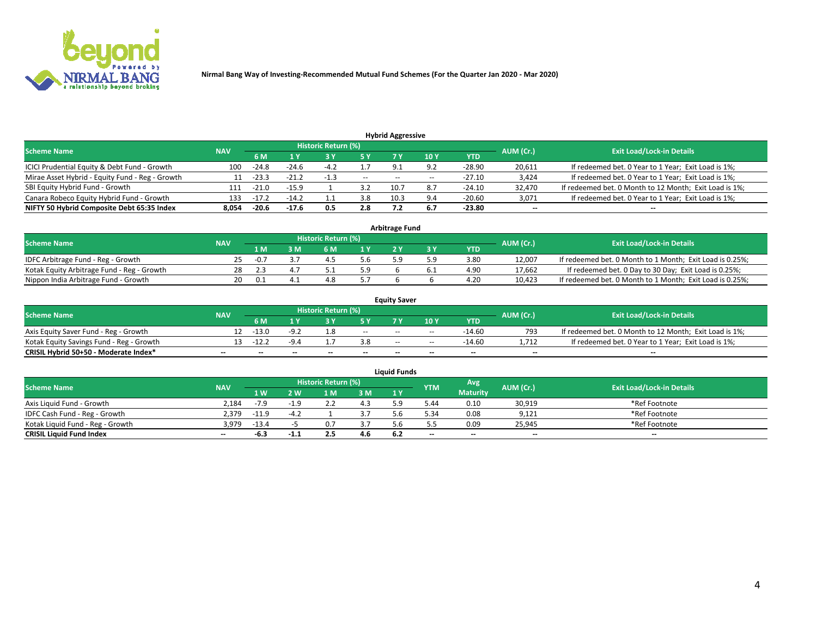

|                                                                                                          |       |         |         |        |      | <b>Hybrid Aggressive</b> |             |            |        |                                                        |  |  |  |  |
|----------------------------------------------------------------------------------------------------------|-------|---------|---------|--------|------|--------------------------|-------------|------------|--------|--------------------------------------------------------|--|--|--|--|
| Historic Return (%)<br><b>Exit Load/Lock-in Details</b><br>AUM (Cr.)<br><b>Scheme Name</b><br><b>NAV</b> |       |         |         |        |      |                          |             |            |        |                                                        |  |  |  |  |
|                                                                                                          |       | 6 M     | 1 Y     |        | 5 Y  |                          | 10 Y        | <b>YTD</b> |        |                                                        |  |  |  |  |
| ICICI Prudential Equity & Debt Fund - Growth                                                             | 100   | $-24.8$ | $-24.6$ | $-4.2$ | 1.7  | 9.1                      | 9.2         | $-28.90$   | 20,611 | If redeemed bet. 0 Year to 1 Year; Exit Load is 1%;    |  |  |  |  |
| Mirae Asset Hybrid - Equity Fund - Reg - Growth                                                          |       | -23.3   | $-21.2$ | $-1.3$ | $ -$ | $- -$                    | $- -$       | $-27.10$   | 3,424  | If redeemed bet. 0 Year to 1 Year; Exit Load is 1%;    |  |  |  |  |
| SBI Equity Hybrid Fund - Growth                                                                          | 111   | $-21.0$ | $-15.9$ |        | 3.2  | 10.7                     | 8.7         | $-24.10$   | 32,470 | If redeemed bet. 0 Month to 12 Month; Exit Load is 1%; |  |  |  |  |
| Canara Robeco Equity Hybrid Fund - Growth                                                                | 133   |         | $-14.2$ |        | 3.8  | 10.3                     | $Q \Lambda$ | -20.60     | 3,071  | If redeemed bet. 0 Year to 1 Year; Exit Load is 1%;    |  |  |  |  |
| NIFTY 50 Hybrid Composite Debt 65:35 Index                                                               | 8.054 | $-20.6$ | $-17.6$ | 0.5    | 2.8  | 7.2                      | 6.7         | -23.80     | $\sim$ | $\overline{\phantom{a}}$                               |  |  |  |  |

|                                            |            |        |     |                     |     | <b>Arbitrage Fund</b> |      |           |                                                          |
|--------------------------------------------|------------|--------|-----|---------------------|-----|-----------------------|------|-----------|----------------------------------------------------------|
| <b>Scheme Name</b>                         | <b>NAV</b> |        |     | Historic Return (%) |     |                       |      | AUM (Cr.) | <b>Exit Load/Lock-in Details</b>                         |
|                                            |            | 1 M    | ያ M | 6 M                 |     |                       | YTD  |           |                                                          |
| IDFC Arbitrage Fund - Reg - Growth         | 25         | $-0.7$ |     |                     | 5.6 | τ α                   | 3.80 | 12,007    | If redeemed bet. 0 Month to 1 Month; Exit Load is 0.25%; |
| Kotak Equity Arbitrage Fund - Reg - Growth | 28         |        |     |                     | 5.9 |                       | 4.90 | 17,662    | If redeemed bet. 0 Day to 30 Day; Exit Load is 0.25%;    |
| Nippon India Arbitrage Fund - Growth       | 20.        | 0.1    |     |                     |     |                       | 4.20 | 10,423    | If redeemed bet. 0 Month to 1 Month; Exit Load is 0.25%; |

|                                          |            |                                  |        |                          |                          | <b>Equity Saver</b> |               |            |                          |                                                        |
|------------------------------------------|------------|----------------------------------|--------|--------------------------|--------------------------|---------------------|---------------|------------|--------------------------|--------------------------------------------------------|
| Scheme Name                              | <b>NAV</b> | <b>Exit Load/Lock-in Details</b> |        |                          |                          |                     |               |            |                          |                                                        |
|                                          |            | 6 M                              |        |                          | 5 Y                      |                     | $\sqrt{10}$ Y | <b>YTD</b> | AUM (Cr.)                |                                                        |
| Axis Equity Saver Fund - Reg - Growth    |            | $-13.0$                          | $-9.2$ |                          | $\sim$                   | $- -$               | $- -$         | $-14.60$   | 793                      | If redeemed bet. 0 Month to 12 Month; Exit Load is 1%; |
| Kotak Equity Savings Fund - Reg - Growth |            | $-12.2$                          |        |                          | 3.8                      | $\sim$ $\sim$       | $- -$         | -14.60     | 1.712                    | If redeemed bet. 0 Year to 1 Year; Exit Load is 1%;    |
| CRISIL Hybrid 50+50 - Moderate Index*    |            | $- -$                            | $-$    | $\overline{\phantom{a}}$ | $\overline{\phantom{a}}$ | $\sim$              | --            | $\sim$     | $\overline{\phantom{a}}$ | $- -$                                                  |

| <b>Liquid Funds</b>              |            |         |        |                     |     |      |            |                 |           |                                  |  |  |  |  |
|----------------------------------|------------|---------|--------|---------------------|-----|------|------------|-----------------|-----------|----------------------------------|--|--|--|--|
| Scheme Name                      | <b>NAV</b> |         |        | Historic Return (%) |     |      | <b>YTM</b> | Avg             | AUM (Cr.) | <b>Exit Load/Lock-in Details</b> |  |  |  |  |
|                                  |            | 1 W     | 2 W    | 1 M                 | 3M  | 71 Y |            | <b>Maturity</b> |           |                                  |  |  |  |  |
| Axis Liquid Fund - Growth        | 2.184      | $-7.9$  | $-1.9$ | ے ۔                 | 4.3 |      | 44.ز       | 0.10            | 30,919    | *Ref Footnote                    |  |  |  |  |
| IDFC Cash Fund - Reg - Growth    | 2,379      | $-11.9$ | $-4.2$ |                     | 3.7 |      | 5.34       | 0.08            | 9,121     | *Ref Footnote                    |  |  |  |  |
| Kotak Liquid Fund - Reg - Growth | 3.979      | $-13.4$ |        |                     | 3.7 |      |            | 0.09            | 25,945    | *Ref Footnote                    |  |  |  |  |
| <b>CRISIL Liquid Fund Index</b>  | $\sim$     | -6.3    | حملات  | 2.5                 | 4.6 |      | $- -$      | $-$             | $\sim$    | $\sim$                           |  |  |  |  |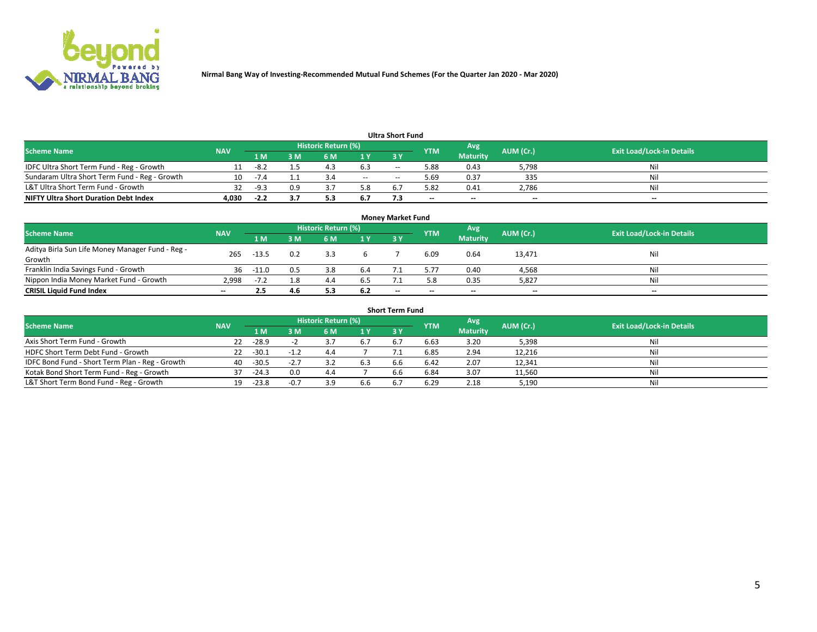

|                                               |            |        |     |                     |        | <b>Ultra Short Fund</b> |            |                 |           |                                  |
|-----------------------------------------------|------------|--------|-----|---------------------|--------|-------------------------|------------|-----------------|-----------|----------------------------------|
| <b>Scheme Name</b>                            | <b>NAV</b> |        |     | Historic Return (%) |        |                         | <b>YTM</b> | Avg             | AUM (Cr.) | <b>Exit Load/Lock-in Details</b> |
|                                               |            | 1 M    | 3 M | 6 M                 | 1 Y    | <b>3Y</b>               |            | <b>Maturity</b> |           |                                  |
| IDFC Ultra Short Term Fund - Reg - Growth     |            | -8.2   |     |                     | 6.3    | $-$                     | 5.88       | 0.43            | 5,798     | Nil                              |
| Sundaram Ultra Short Term Fund - Reg - Growth |            | -14    |     |                     | $\sim$ | $-$                     | .69 د      | 0.37            | 335       | Nil                              |
| L&T Ultra Short Term Fund - Growth            | 32.        | -9.3   | 0.9 |                     | 5.8    |                         | 5.82       | 0.41            | 2,786     | Nil                              |
| <b>NIFTY Ultra Short Duration Debt Index</b>  | 4,030      | $-2.2$ |     |                     | 6.7    |                         | $-$        | $-$             | $\sim$    | $- -$                            |

| <b>Money Market Fund</b>                                   |            |         |     |                     |     |                          |                          |                 |           |                                  |  |  |  |
|------------------------------------------------------------|------------|---------|-----|---------------------|-----|--------------------------|--------------------------|-----------------|-----------|----------------------------------|--|--|--|
| <b>Scheme Name</b>                                         | <b>NAV</b> |         |     | Historic Return (%) |     |                          | <b>YTM</b>               | 'Avg            | AUM (Cr.) | <b>Exit Load/Lock-in Details</b> |  |  |  |
|                                                            |            | 1 M     | 3 M | 6 M                 | 1 Y | 3Y                       |                          | <b>Maturity</b> |           |                                  |  |  |  |
| Aditya Birla Sun Life Money Manager Fund - Reg -<br>Growth | 265        | $-13.5$ | 0.2 |                     |     |                          | 6.09                     | 0.64            | 13,471    | Nil                              |  |  |  |
| Franklin India Savings Fund - Growth                       | 36         | -11.0   | 0.5 | 3.8                 | 6.4 |                          | 5.77                     | 0.40            | 4,568     | Nil                              |  |  |  |
| Nippon India Money Market Fund - Growth                    | 2.998      | $-7.2$  | 1.8 | 4.4                 | 6.5 |                          | 5.8                      | 0.35            | 5,827     | Nil                              |  |  |  |
| <b>CRISIL Liquid Fund Index</b>                            | $- -$      |         | 4.6 |                     | 6.2 | $\overline{\phantom{a}}$ | $\overline{\phantom{a}}$ | $\sim$          | $\sim$    | $\sim$                           |  |  |  |

| <b>Short Term Fund</b>                          |            |         |        |                     |     |           |            |                 |           |                                  |  |  |  |  |
|-------------------------------------------------|------------|---------|--------|---------------------|-----|-----------|------------|-----------------|-----------|----------------------------------|--|--|--|--|
| <b>Scheme Name</b>                              | <b>NAV</b> |         |        | Historic Return (%) |     |           | <b>YTM</b> | Avg             | AUM (Cr.) | <b>Exit Load/Lock-in Details</b> |  |  |  |  |
|                                                 |            | 1 M     | 3 M    | 6 M                 | 1Y  | <b>3Y</b> |            | <b>Maturity</b> |           |                                  |  |  |  |  |
| Axis Short Term Fund - Growth                   | 22         | $-28.9$ |        |                     |     |           | 6.63       | 3.20            | 5,398     | Nil                              |  |  |  |  |
| HDFC Short Term Debt Fund - Growth              | 22         | $-30.1$ |        | 4.4                 |     |           | 6.85       | 2.94            | 12,216    | Nil                              |  |  |  |  |
| IDFC Bond Fund - Short Term Plan - Reg - Growth | 40         | $-30.5$ |        |                     | 6.3 | 6.6       | 6.42       | 2.07            | 12,341    | Nil                              |  |  |  |  |
| Kotak Bond Short Term Fund - Reg - Growth       | 37         | $-24.3$ | 0.0    | 4.4                 |     | 6.6       | 6.84       | 3.07            | 11,560    | Nil                              |  |  |  |  |
| L&T Short Term Bond Fund - Reg - Growth         | 19.        | $-23.8$ | $-0.7$ |                     | 6.6 |           | 6.29       | 2.18            | 5,190     | Nil                              |  |  |  |  |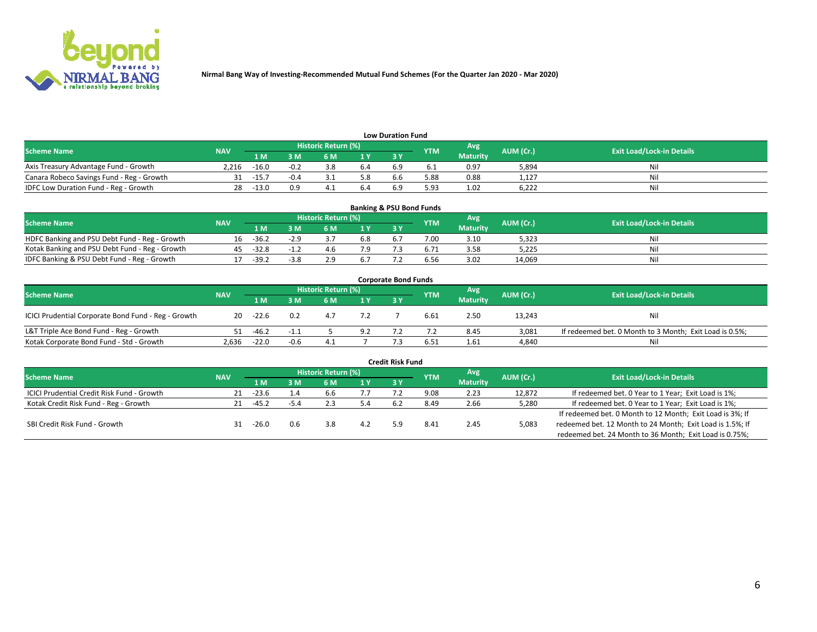

| <b>Low Duration Fund</b>                  |            |         |        |                            |     |     |            |                 |           |                                  |  |  |  |
|-------------------------------------------|------------|---------|--------|----------------------------|-----|-----|------------|-----------------|-----------|----------------------------------|--|--|--|
| <b>Scheme Name</b>                        | <b>NAV</b> |         |        | <b>Historic Return (%)</b> |     |     | <b>YTM</b> | Avg             | AUM (Cr.) | <b>Exit Load/Lock-in Details</b> |  |  |  |
|                                           |            | 1 M     | ያ M    | 5 M                        | 1 V |     |            | <b>Maturity</b> |           |                                  |  |  |  |
| Axis Treasury Advantage Fund - Growth     | 2.216      | $-16.0$ | $-0.2$ |                            | 6.4 | b.5 |            | 0.97            | 5,894     | Nil                              |  |  |  |
| Canara Robeco Savings Fund - Reg - Growth |            | $-15.7$ | $-0.4$ |                            | 5.8 | b.b | 5.88       | 0.88            | 1,127     | Nil                              |  |  |  |
| IDFC Low Duration Fund - Reg - Growth     |            | $-13.0$ | 0.9    |                            |     |     | 5.93       | 1.02            | 6,222     | Nil                              |  |  |  |

| <b>Banking &amp; PSU Bond Funds</b>            |            |         |        |                            |                |           |            |                 |           |                                  |  |  |  |
|------------------------------------------------|------------|---------|--------|----------------------------|----------------|-----------|------------|-----------------|-----------|----------------------------------|--|--|--|
| <b>Scheme Name</b>                             | <b>NAV</b> |         |        | <b>Historic Return (%)</b> |                |           | <b>YTM</b> | Avg             | AUM (Cr.) | <b>Exit Load/Lock-in Details</b> |  |  |  |
|                                                |            | 1 M     | sм     | 6 M                        | 1 <sub>Y</sub> | <b>3Y</b> |            | <b>Maturity</b> |           |                                  |  |  |  |
| HDFC Banking and PSU Debt Fund - Reg - Growth  | 16.        | $-36.2$ | $-2.9$ |                            | 6.8            | 6.7       | 7.00       | 3.10            | 5,323     | Ni                               |  |  |  |
| Kotak Banking and PSU Debt Fund - Reg - Growth |            | $-32.8$ | $-1.2$ | 4.b                        | 7.9            |           |            | 3.58            | 5,225     | Ni                               |  |  |  |
| IDFC Banking & PSU Debt Fund - Reg - Growth    |            | $-39.2$ | -3.8   |                            | 6.7            |           | 6.56       | 3.02            | 14.069    | Ni                               |  |  |  |

| <b>Corporate Bond Funds</b>                         |            |         |        |                     |     |     |            |                 |           |                                                         |  |  |  |
|-----------------------------------------------------|------------|---------|--------|---------------------|-----|-----|------------|-----------------|-----------|---------------------------------------------------------|--|--|--|
| <b>Scheme Name</b>                                  | <b>NAV</b> |         |        | Historic Return (%) |     |     | <b>YTM</b> | Avg'            | AUM (Cr.) | <b>Exit Load/Lock-in Details</b>                        |  |  |  |
|                                                     |            | 1 M     | : M    | 6 M                 | 1 Y | 3 Y |            | <b>Maturity</b> |           |                                                         |  |  |  |
| ICICI Prudential Corporate Bond Fund - Reg - Growth | 20         | -22.6   | 0.2    |                     |     |     | 6.61       | 2.50            | 13,243    | Nil                                                     |  |  |  |
| L&T Triple Ace Bond Fund - Reg - Growth             |            | $-46.2$ |        |                     | 9.2 |     |            | 8.45            | 3,081     | If redeemed bet. 0 Month to 3 Month; Exit Load is 0.5%; |  |  |  |
| Kotak Corporate Bond Fund - Std - Growth            | 2,636      | $-22.0$ | $-0.6$ | 4.1                 |     |     | 6.51       | 1.61            | 4,840     | Nil                                                     |  |  |  |

|                                            |            |         |          |                     |      | <b>Credit Risk Fund</b> |               |                 |           |                                                           |
|--------------------------------------------|------------|---------|----------|---------------------|------|-------------------------|---------------|-----------------|-----------|-----------------------------------------------------------|
| <b>Scheme Name</b>                         | <b>NAV</b> |         |          | Historic Return (%) |      |                         | <b>YTM</b>    | Avg             | AUM (Cr.) | <b>Exit Load/Lock-in Details</b>                          |
|                                            |            | 1 M     | : M      | 6 M                 | '1 Y | 3Y                      |               | <b>Maturity</b> |           |                                                           |
| ICICI Prudential Credit Risk Fund - Growth | 21         | -23.6   | $\pm .4$ | b.b                 |      |                         | 9.08          | 2.23            | 12,872    | If redeemed bet. 0 Year to 1 Year; Exit Load is 1%;       |
| Kotak Credit Risk Fund - Reg - Growth      |            | $-45.2$ |          |                     |      |                         | 8.49          | 2.66            | 5,280     | If redeemed bet. 0 Year to 1 Year; Exit Load is 1%;       |
|                                            |            |         |          |                     |      |                         |               |                 |           | If redeemed bet. 0 Month to 12 Month; Exit Load is 3%; If |
| SBI Credit Risk Fund - Growth              |            | $-26.0$ | 0.6      | 3.8                 |      |                         | $8.4^{\circ}$ | 2.45            | 5,083     | redeemed bet. 12 Month to 24 Month; Exit Load is 1.5%; If |
|                                            |            |         |          |                     |      |                         |               |                 |           | redeemed bet. 24 Month to 36 Month; Exit Load is 0.75%;   |